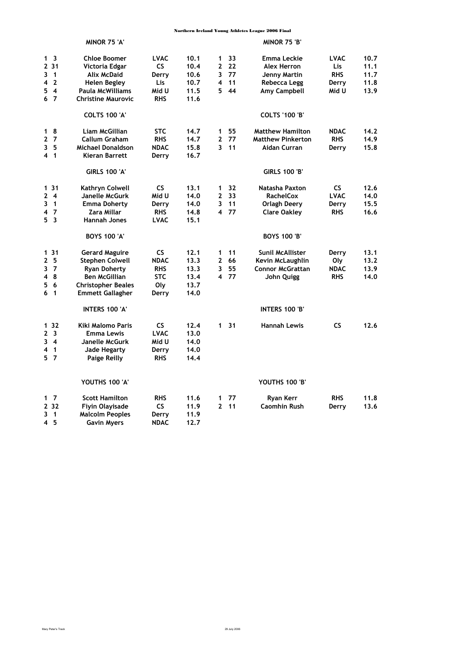|                                                                                                                         | MINOR 75 'A'                                                                                                                                           |                                                                      |                                              |                              |                        | MINOR 75 'B'                                                                  |                                                 |                              |
|-------------------------------------------------------------------------------------------------------------------------|--------------------------------------------------------------------------------------------------------------------------------------------------------|----------------------------------------------------------------------|----------------------------------------------|------------------------------|------------------------|-------------------------------------------------------------------------------|-------------------------------------------------|------------------------------|
| 1 <sup>3</sup><br>2 3 1<br>3<br>$\overline{1}$<br>$\overline{2}$<br>4                                                   | <b>Chloe Boomer</b><br>Victoria Edgar<br><b>Alix McDaid</b><br>Helen Begley                                                                            | <b>LVAC</b><br><b>CS</b><br>Derry<br>Lis                             | 10.1<br>10.4<br>10.6<br>10.7                 | 1<br>$\mathbf{2}$<br>3<br>4  | 33<br>22<br>77<br>11   | Emma Leckie<br>Alex Herron<br>Jenny Martin<br>Rebecca Legg                    | <b>LVAC</b><br>Lis<br><b>RHS</b><br>Derry       | 10.7<br>11.1<br>11.7<br>11.8 |
| 5<br>$\overline{4}$<br>6 7                                                                                              | Paula McWilliams<br><b>Christine Maurovic</b>                                                                                                          | Mid U<br><b>RHS</b>                                                  | 11.5<br>11.6                                 | 5.                           | 44                     | <b>Amy Campbell</b>                                                           | Mid U                                           | 13.9                         |
|                                                                                                                         | <b>COLTS 100 'A'</b>                                                                                                                                   |                                                                      |                                              |                              |                        | <b>COLTS '100 'B'</b>                                                         |                                                 |                              |
| 1<br>- 8<br>2 <sub>7</sub>                                                                                              | Liam McGillian<br><b>Callum Graham</b>                                                                                                                 | <b>STC</b><br><b>RHS</b>                                             | 14.7<br>14.7                                 | $\mathbf{1}$<br>$\mathbf{2}$ | 55<br>77               | <b>Matthew Hamilton</b><br><b>Matthew Pinkerton</b>                           | <b>NDAC</b><br><b>RHS</b>                       | 14.2<br>14.9                 |
| - 5<br>3<br>4 <sub>1</sub>                                                                                              | <b>Michael Donaldson</b><br>Kieran Barrett                                                                                                             | <b>NDAC</b><br>Derry                                                 | 15.8<br>16.7                                 | 3                            | 11                     | Aidan Curran                                                                  | Derry                                           | 15.8                         |
|                                                                                                                         | <b>GIRLS 100 'A'</b>                                                                                                                                   |                                                                      |                                              |                              |                        | <b>GIRLS 100 'B'</b>                                                          |                                                 |                              |
| $131$<br>$\mathbf{2}$<br>$\overline{4}$<br>$\overline{1}$<br>3<br>7<br>4<br>5 <sub>3</sub>                              | Kathryn Colwell<br>Janelle McGurk<br><b>Emma Doherty</b><br>Zara Millar<br><b>Hannah Jones</b>                                                         | <b>CS</b><br>Mid U<br>Derry<br><b>RHS</b><br><b>LVAC</b>             | 13.1<br>14.0<br>14.0<br>14.8<br>15.1         | 1<br>$\mathbf{2}$<br>3<br>4  | 32<br>33<br>11<br>- 77 | Natasha Paxton<br><b>RachelCox</b><br>Orlagh Deery<br><b>Clare Oakley</b>     | <b>CS</b><br><b>LVAC</b><br>Derry<br><b>RHS</b> | 12.6<br>14.0<br>15.5<br>16.6 |
|                                                                                                                         | <b>BOYS 100 'A'</b>                                                                                                                                    |                                                                      |                                              |                              |                        | <b>BOYS 100 'B'</b>                                                           |                                                 |                              |
| 1 31<br>- 5<br>$\mathbf{2}$<br>3<br>7<br>8<br>4<br>5<br>6<br>6<br>$\overline{\mathbf{1}}$                               | <b>Gerard Maguire</b><br><b>Stephen Colwell</b><br><b>Ryan Doherty</b><br><b>Ben McGillian</b><br><b>Christopher Beales</b><br><b>Emmett Gallagher</b> | <b>CS</b><br><b>NDAC</b><br><b>RHS</b><br><b>STC</b><br>0ly<br>Derry | 12.1<br>13.3<br>13.3<br>13.4<br>13.7<br>14.0 | 1<br>$\mathbf{2}$<br>3<br>4  | 11<br>66<br>55<br>77   | Sunil McAllister<br>Kevin McLaughlin<br><b>Connor McGrattan</b><br>John Quigg | Derry<br>Oly<br><b>NDAC</b><br><b>RHS</b>       | 13.1<br>13.2<br>13.9<br>14.0 |
|                                                                                                                         | INTERS 100 'A'                                                                                                                                         |                                                                      |                                              |                              |                        | INTERS 100 'B'                                                                |                                                 |                              |
| 132<br>$\mathbf{2}$<br>$\overline{\mathbf{3}}$<br>$\overline{\mathbf{4}}$<br>3<br>$\overline{1}$<br>4<br>5 <sub>7</sub> | Kiki Malomo Paris<br><b>Emma Lewis</b><br>Janelle McGurk<br><b>Jade Hegarty</b><br><b>Paige Reilly</b>                                                 | <b>CS</b><br><b>LVAC</b><br>Mid U<br>Derry<br><b>RHS</b>             | 12.4<br>13.0<br>14.0<br>14.0<br>14.4         | $\mathbf{1}$                 | - 31                   | <b>Hannah Lewis</b>                                                           | CS                                              | 12.6                         |
|                                                                                                                         | YOUTHS 100 'A'                                                                                                                                         |                                                                      |                                              |                              |                        | <b>YOUTHS 100 'B'</b>                                                         |                                                 |                              |
| $1\quad7$<br>2 3 2<br>3<br>$\overline{\mathbf{1}}$<br>45                                                                | <b>Scott Hamilton</b><br>Fiyin Olayisade<br><b>Malcolm Peoples</b><br><b>Gavin Myers</b>                                                               | <b>RHS</b><br><b>CS</b><br>Derry<br><b>NDAC</b>                      | 11.6<br>11.9<br>11.9<br>12.7                 | 1<br>$\overline{2}$          | 77<br>11               | Ryan Kerr<br><b>Caomhin Rush</b>                                              | <b>RHS</b><br>Derry                             | 11.8<br>13.6                 |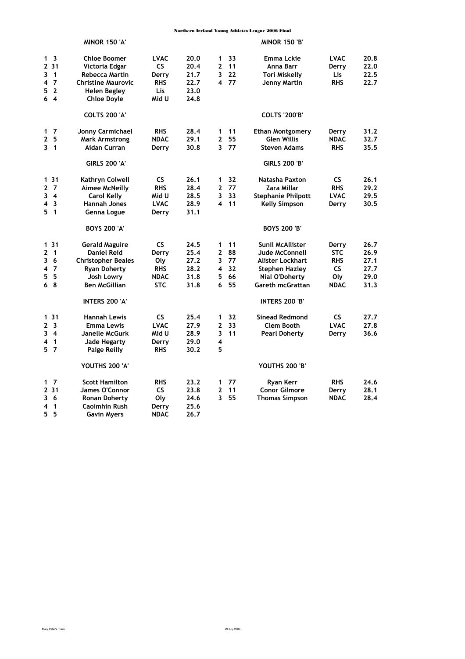|                                | <b>MINOR 150 'A'</b>                  |                          |              |                              |          | <b>MINOR 150 'B'</b>      |                      |              |
|--------------------------------|---------------------------------------|--------------------------|--------------|------------------------------|----------|---------------------------|----------------------|--------------|
| 1 <sup>3</sup><br>231          | <b>Chloe Boomer</b><br>Victoria Edgar | <b>LVAC</b><br><b>CS</b> | 20.0<br>20.4 | $\mathbf{1}$<br>$\mathbf{2}$ | 33<br>11 | Emma Lckie<br>Anna Barr   | <b>LVAC</b><br>Derry | 20.8<br>22.0 |
| 3<br>$\overline{1}$            | <b>Rebecca Martin</b>                 | Derry                    | 21.7         | 3                            | 22       | Tori Miskelly             | Lis                  | 22.5         |
| $\overline{7}$<br>4            | <b>Christine Maurovic</b>             | <b>RHS</b>               | 22.7         |                              | 4 77     | Jenny Martin              | <b>RHS</b>           | 22.7         |
| 5<br>$\overline{2}$            | <b>Helen Begley</b>                   | Lis                      | 23.0         |                              |          |                           |                      |              |
| 6 <sub>4</sub>                 | <b>Chloe Doyle</b>                    | Mid U                    | 24.8         |                              |          |                           |                      |              |
|                                | <b>COLTS 200 'A'</b>                  |                          |              |                              |          | <b>COLTS '200'B'</b>      |                      |              |
| $1\quad7$                      | Jonny Carmichael                      | <b>RHS</b>               | 28.4         | 1                            | 11       | <b>Ethan Montgomery</b>   | Derry                | 31.2         |
| 2 <sub>5</sub>                 | <b>Mark Armstrong</b>                 | <b>NDAC</b>              | 29.1         | $\mathbf{2}$                 | 55       | <b>Glen Willis</b>        | <b>NDAC</b>          | 32.7         |
| 3 <sub>1</sub>                 | Aidan Curran                          | Derry                    | 30.8         | 3                            | 77       | <b>Steven Adams</b>       | <b>RHS</b>           | 35.5         |
|                                | <b>GIRLS 200 'A'</b>                  |                          |              |                              |          | <b>GIRLS 200 'B'</b>      |                      |              |
| 131                            | Kathryn Colwell                       | <b>CS</b>                | 26.1         | $\mathbf 1$                  | 32       | Natasha Paxton            | CS                   | 26.1         |
| 2 <sub>7</sub>                 | <b>Aimee McNeilly</b>                 | <b>RHS</b>               | 28.4         | $\mathbf{2}$                 | 77       | Zara Millar               | <b>RHS</b>           | 29.2         |
| 3<br>$\overline{\mathbf{4}}$   | <b>Carol Kelly</b>                    | Mid U                    | 28.5         | 3                            | 33       | <b>Stephanie Philpott</b> | <b>LVAC</b>          | 29.5         |
| 4<br>$\overline{\mathbf{3}}$   | <b>Hannah Jones</b>                   | <b>LVAC</b>              | 28.9         |                              | 4 11     | <b>Kelly Simpson</b>      | Derry                | 30.5         |
| 5<br>$\overline{1}$            | Genna Logue                           | Derry                    | 31.1         |                              |          |                           |                      |              |
|                                | <b>BOYS 200 'A'</b>                   |                          |              |                              |          | <b>BOYS 200 'B'</b>       |                      |              |
| 131                            | <b>Gerald Maguire</b>                 | <b>CS</b>                | 24.5         | 1                            | 11       | Sunil McAllister          | Derry                | 26.7         |
| $\mathbf{2}$<br>$\overline{1}$ | Daniel Reid                           | Derry                    | 25.4         | $\mathbf{2}$                 | 88       | Jude McConnell            | <b>STC</b>           | 26.9         |
| -6<br>3                        | <b>Christopher Beales</b>             | Oly                      | 27.2         | 3                            | 77       | Alister Lockhart          | <b>RHS</b>           | 27.1         |
| 4<br>-7                        | <b>Ryan Doherty</b>                   | <b>RHS</b>               | 28.2         | 4                            | 32       | <b>Stephen Hazley</b>     | CS.                  | 27.7         |
| -5<br>5                        | Josh Lowry                            | <b>NDAC</b>              | 31.8         | 5                            | 66       | Nial O'Doherty            | Oly                  | 29.0         |
| 68                             | <b>Ben McGillian</b>                  | <b>STC</b>               | 31.8         | 6                            | 55       | Gareth mcGrattan          | <b>NDAC</b>          | 31.3         |
|                                | <b>INTERS 200 'A'</b>                 |                          |              |                              |          | <b>INTERS 200 'B'</b>     |                      |              |
| 131                            | <b>Hannah Lewis</b>                   | <b>CS</b>                | 25.4         | 1                            | 32       | <b>Sinead Redmond</b>     | <b>CS</b>            | 27.7         |
| 2 <sub>3</sub>                 | <b>Emma Lewis</b>                     | <b>LVAC</b>              | 27.9         | $\mathbf{2}$                 | 33       | <b>Clem Booth</b>         | <b>LVAC</b>          | 27.8         |
| $3 \quad 4$                    | Janelle McGurk                        | Mid U                    | 28.9         | 3                            | 11       | <b>Pearl Doherty</b>      | Derry                | 36.6         |
| 4<br>$\overline{1}$            | Jade Hegarty                          | Derry                    | 29.0         | 4                            |          |                           |                      |              |
| 5 <sub>7</sub>                 | <b>Paige Reilly</b>                   | <b>RHS</b>               | 30.2         | 5                            |          |                           |                      |              |
|                                | YOUTHS 200 'A'                        |                          |              |                              |          | YOUTHS 200 'B'            |                      |              |
| $1\quad 7$                     | <b>Scott Hamilton</b>                 | <b>RHS</b>               | 23.2         | 1                            | 77       | <b>Ryan Kerr</b>          | <b>RHS</b>           | 24.6         |
| 2 3 1                          | <b>James O'Connor</b>                 | <b>CS</b>                | 23.8         | $\mathbf{2}$                 | 11       | <b>Conor Gilmore</b>      | Derry                | 28.1         |
| 3<br>-6                        | <b>Ronan Doherty</b>                  | 0ly                      | 24.6         | 3                            | 55       | <b>Thomas Simpson</b>     | <b>NDAC</b>          | 28.4         |
| 4<br>$\mathbf{1}$              | <b>Caoimhin Rush</b>                  | Derry                    | 25.6         |                              |          |                           |                      |              |
| 5.<br>5                        | <b>Gavin Mvers</b>                    | <b>NDAC</b>              | 26.7         |                              |          |                           |                      |              |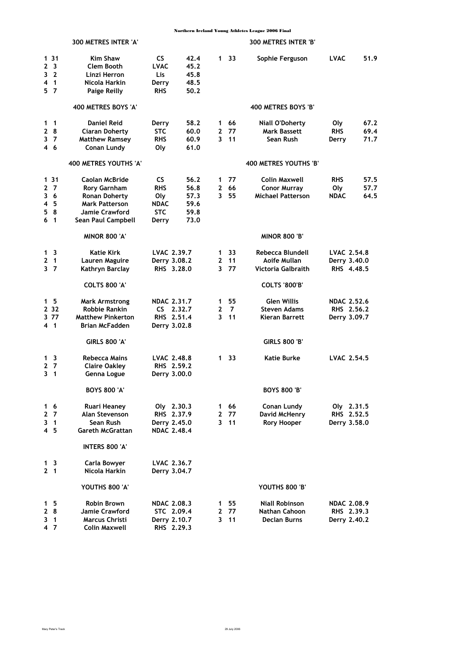|                     | 300 METRES INTER 'A'     |                    |      |              |      | 300 METRES INTER 'B'     |                    |      |
|---------------------|--------------------------|--------------------|------|--------------|------|--------------------------|--------------------|------|
| 131                 | <b>Kim Shaw</b>          | <b>CS</b>          | 42.4 | 1            | 33   | Sophie Ferguson          | LVAC               | 51.9 |
| 2 <sub>3</sub>      | Clem Booth               | <b>LVAC</b>        | 45.2 |              |      |                          |                    |      |
| 3 <sub>2</sub>      | Linzi Herron             | Lis.               | 45.8 |              |      |                          |                    |      |
| $\overline{1}$<br>4 | Nicola Harkin            | Derry              | 48.5 |              |      |                          |                    |      |
| 57                  | <b>Paige Reilly</b>      | <b>RHS</b>         | 50.2 |              |      |                          |                    |      |
|                     | 400 METRES BOYS 'A'      |                    |      |              |      | 400 METRES BOYS 'B'      |                    |      |
| $1 \quad 1$         | <b>Daniel Reid</b>       | Derry              | 58.2 | 1.           | 66   | <b>Niall O'Doherty</b>   | Oly                | 67.2 |
| 28                  | Ciaran Doherty           | <b>STC</b>         | 60.0 | 2            | 77   | <b>Mark Bassett</b>      | <b>RHS</b>         | 69.4 |
| 3 <sub>7</sub>      | <b>Matthew Ramsey</b>    | <b>RHS</b>         | 60.9 | 3            | 11   | Sean Rush                | Derry              | 71.7 |
| 46                  | Conan Lundy              | Oly                | 61.0 |              |      |                          |                    |      |
|                     | 400 METRES YOUTHS 'A'    |                    |      |              |      | 400 METRES YOUTHS 'B'    |                    |      |
| 131                 | Caolan McBride           | <b>CS</b>          | 56.2 | 1            | 77   | Colin Maxwell            | <b>RHS</b>         | 57.5 |
| 27                  | <b>Rory Garnham</b>      | <b>RHS</b>         | 56.8 | 2            | 66   | <b>Conor Murray</b>      | 0ly                | 57.7 |
| 36                  | <b>Ronan Doherty</b>     | 0ly                | 57.3 | 3            | 55   | <b>Michael Patterson</b> | <b>NDAC</b>        | 64.5 |
| 4 5                 | <b>Mark Patterson</b>    | <b>NDAC</b>        | 59.6 |              |      |                          |                    |      |
| 8<br>5              | Jamie Crawford           | <b>STC</b>         | 59.8 |              |      |                          |                    |      |
| 6 <sub>1</sub>      | Sean Paul Campbell       | Derry              | 73.0 |              |      |                          |                    |      |
|                     | <b>MINOR 800 'A'</b>     |                    |      |              |      | <b>MINOR 800 'B'</b>     |                    |      |
| 1 <sup>3</sup>      | Katie Kirk               | LVAC 2.39.7        |      | 1            | 33   | Rebecca Blundell         | LVAC 2.54.8        |      |
| 21                  | Lauren Maguire           | Derry 3.08.2       |      | $\mathbf{2}$ | 11   | Aoife Mullan             | Derry 3.40.0       |      |
| 3 <sub>7</sub>      | Kathryn Barclay          | RHS 3.28.0         |      | 3            | 77   | Victoria Galbraith       | RHS 4.48.5         |      |
|                     | <b>COLTS 800 'A'</b>     |                    |      |              |      | <b>COLTS '800'B'</b>     |                    |      |
| 15                  | <b>Mark Armstrong</b>    | <b>NDAC 2.31.7</b> |      | 1            | 55   | <b>Glen Willis</b>       | <b>NDAC 2.52.6</b> |      |
| 2 3 2               | <b>Robbie Rankin</b>     | $CS$ 2.32.7        |      | 2            | 7    | Steven Adams             | RHS 2.56.2         |      |
| 3 77                | <b>Matthew Pinkerton</b> | RHS 2.51.4         |      | 3            | 11   | Kieran Barrett           | Derry 3.09.7       |      |
| 4 <sub>1</sub>      | Brian McFadden           | Derry 3.02.8       |      |              |      |                          |                    |      |
|                     | <b>GIRLS 800 'A'</b>     |                    |      |              |      | <b>GIRLS 800 'B'</b>     |                    |      |
| $1\quad 3$          | Rebecca Mains            | LVAC 2.48.8        |      | 1            | 33   | <b>Katie Burke</b>       | <b>LVAC 2.54.5</b> |      |
| 2<br>7              | <b>Claire Oakley</b>     | RHS 2.59.2         |      |              |      |                          |                    |      |
| $\mathbf{1}$<br>3   | Genna Logue              | Derry 3.00.0       |      |              |      |                          |                    |      |
|                     | <b>BOYS 800 'A'</b>      |                    |      |              |      | <b>BOYS 800 'B'</b>      |                    |      |
| $1\quad6$           | Ruari Heaney             | Oly 2.30.3         |      | $\mathbf 1$  | 66   | Conan Lundy              | Oly 2.31.5         |      |
| 2 <sub>7</sub>      | Alan Stevenson           | RHS 2.37.9         |      | $\mathbf{2}$ | 77   | David McHenry            | RHS 2.52.5         |      |
| 3 1                 | Sean Rush                | Derry 2.45.0       |      |              | 3 11 | <b>Rory Hooper</b>       | Derry 3.58.0       |      |
| 4 <sub>5</sub>      | <b>Gareth McGrattan</b>  | <b>NDAC 2.48.4</b> |      |              |      |                          |                    |      |
|                     | INTERS 800 'A'           |                    |      |              |      |                          |                    |      |
| 1 <sub>3</sub>      | Carla Bowyer             | LVAC 2.36.7        |      |              |      |                          |                    |      |
| 2 <sub>1</sub>      | Nicola Harkin            | Derry 3.04.7       |      |              |      |                          |                    |      |
|                     | YOUTHS 800 'A'           |                    |      |              |      | YOUTHS 800 'B'           |                    |      |
| $1\quad 5$          | Robin Brown              | <b>NDAC 2.08.3</b> |      | 1.           | 55   | <b>Niall Robinson</b>    | NDAC 2.08.9        |      |
| 28                  | Jamie Crawford           | STC 2.09.4         |      | 2            | 77   | Nathan Cahoon            | RHS 2.39.3         |      |
| 3 1                 | Marcus Christi           | Derry 2.10.7       |      | 3            | 11   | <b>Declan Burns</b>      | Derry 2.40.2       |      |
| 47                  | <b>Colin Maxwell</b>     | RHS 2.29.3         |      |              |      |                          |                    |      |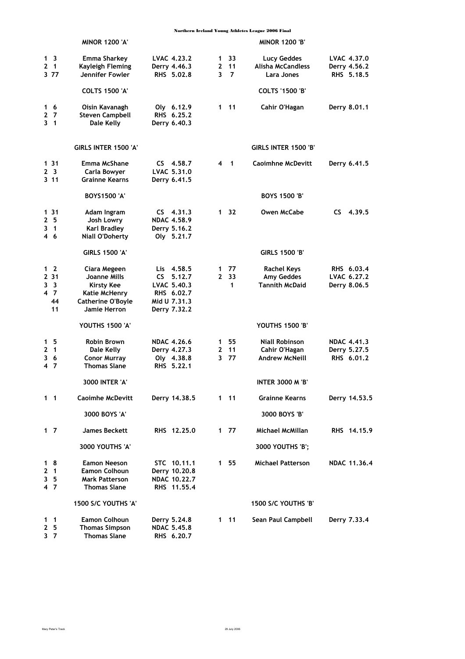|                |                | <b>MINOR 1200 'A'</b>                         |                                  |              |                         | <b>MINOR 1200 'B'</b>    |                    |
|----------------|----------------|-----------------------------------------------|----------------------------------|--------------|-------------------------|--------------------------|--------------------|
| 1 <sup>3</sup> |                | Emma Sharkey                                  | LVAC 4.23.2                      | 1            | 33                      | Lucy Geddes              | LVAC 4.37.0        |
| $2 \quad 1$    |                | Kayleigh Fleming                              | Derry 4.46.3                     | 2            | 11                      | Alisha McCandless        | Derry 4.56.2       |
| 377            |                | Jennifer Fowler                               | RHS 5.02.8                       | 3            | 7                       | Lara Jones               | RHS 5.18.5         |
|                |                | <b>COLTS 1500 'A'</b>                         |                                  |              |                         | <b>COLTS '1500 'B'</b>   |                    |
| 16             |                | Oisin Kavanagh                                | Oly 6.12.9                       | 1.           | $-11$                   | Cahir O'Hagan            | Derry 8.01.1       |
| 27             |                | <b>Steven Campbell</b>                        | RHS 6.25.2                       |              |                         |                          |                    |
| 31             |                | Dale Kelly                                    | Derry 6.40.3                     |              |                         |                          |                    |
|                |                | GIRLS INTER 1500 'A'                          |                                  |              |                         | GIRLS INTER 1500 'B'     |                    |
| 131            |                | Emma McShane                                  | $CS$ 4.58.7                      | 4            | $\overline{\mathbf{1}}$ | <b>Caoimhne McDevitt</b> | Derry 6.41.5       |
| 2 <sub>3</sub> |                | Carla Bowyer                                  | LVAC 5.31.0                      |              |                         |                          |                    |
| 3 11           |                | <b>Grainne Kearns</b>                         | Derry 6.41.5                     |              |                         |                          |                    |
|                |                | <b>BOYS1500 'A'</b>                           |                                  |              |                         | <b>BOYS 1500 'B'</b>     |                    |
| 1 31           |                | Adam Ingram                                   | $CS$ 4.31.3                      | 1            | -32                     | Owen McCabe              | 4.39.5<br>CS.      |
| 2 5            |                | Josh Lowry                                    | <b>NDAC 4.58.9</b>               |              |                         |                          |                    |
| 3.<br>46       | $\mathbf{1}$   | <b>Karl Bradley</b><br><b>Niall O'Doherty</b> | Derry 5.16.2<br>Oly 5.21.7       |              |                         |                          |                    |
|                |                | <b>GIRLS 1500 'A'</b>                         |                                  |              |                         | <b>GIRLS 1500 'B'</b>    |                    |
| 1 <sub>2</sub> |                | Ciara Megeen                                  | Lis 4.58.5                       | 1            | 77                      | <b>Rachel Keys</b>       | RHS 6.03.4         |
| 2 31           |                | Joanne Mills                                  | CS -<br>5.12.7                   | $\mathbf{2}$ | -33                     | Amy Geddes               | LVAC 6.27.2        |
| 3 <sup>3</sup> |                | Kirsty Kee                                    | LVAC 5.40.3                      |              | 1                       | <b>Tannith McDaid</b>    | Derry 8.06.5       |
| 47             |                | Katie McHenry                                 | RHS 6.02.7                       |              |                         |                          |                    |
|                | 44             | <b>Catherine O'Boyle</b>                      | Mid U 7.31.3                     |              |                         |                          |                    |
|                | 11             | Jamie Herron                                  | Derry 7.32.2                     |              |                         |                          |                    |
|                |                | YOUTHS 1500 'A'                               |                                  |              |                         | <b>YOUTHS 1500 'B'</b>   |                    |
| 1 <sub>5</sub> |                | <b>Robin Brown</b>                            | <b>NDAC 4.26.6</b>               | 1            | 55                      | <b>Niall Robinson</b>    | <b>NDAC 4.41.3</b> |
| $\mathbf{2}$   | $\blacksquare$ | Dale Kelly                                    | Derry 4.27.3                     | 2            | 11                      | Cahir O'Hagan            | Derry 5.27.5       |
| 36<br>47       |                | <b>Conor Murray</b><br><b>Thomas Slane</b>    | Oly 4.38.8<br>RHS 5.22.1         | 3            | -77                     | <b>Andrew McNeill</b>    | RHS 6.01.2         |
|                |                | 3000 INTER 'A'                                |                                  |              |                         | <b>INTER 3000 M 'B'</b>  |                    |
| $1 \quad 1$    |                | <b>Caoimhe McDevitt</b>                       | Derry 14.38.5                    |              | $1 \quad 11$            | <b>Grainne Kearns</b>    | Derry 14.53.5      |
|                |                | 3000 BOYS 'A'                                 |                                  |              |                         | 3000 BOYS 'B'            |                    |
| $1\quad7$      |                | <b>James Beckett</b>                          | RHS 12.25.0                      |              | 1 77                    | Michael McMillan         | RHS 14.15.9        |
|                |                | 3000 YOUTHS 'A'                               |                                  |              |                         | 3000 YOUTHS 'B';         |                    |
| 18             |                | <b>Eamon Neeson</b>                           | STC 10.11.1                      |              | 1 55                    | <b>Michael Patterson</b> | NDAC 11.36.4       |
| $2 \quad 1$    |                | <b>Eamon Colhoun</b>                          | Derry 10.20.8                    |              |                         |                          |                    |
| 3 <sub>5</sub> |                | <b>Mark Patterson</b>                         | NDAC 10.22.7                     |              |                         |                          |                    |
| 4 7            |                | <b>Thomas Slane</b>                           | RHS 11,55.4                      |              |                         |                          |                    |
|                |                | 1500 S/C YOUTHS 'A'                           |                                  |              |                         | 1500 S/C YOUTHS 'B'      |                    |
| $1 \quad 1$    |                | <b>Eamon Colhoun</b>                          | Derry 5.24.8                     |              | $1 \quad 11$            | Sean Paul Campbell       | Derry 7.33.4       |
| 2<br>37        | - 5            | <b>Thomas Simpson</b><br><b>Thomas Slane</b>  | <b>NDAC 5.45.8</b><br>RHS 6.20.7 |              |                         |                          |                    |
|                |                |                                               |                                  |              |                         |                          |                    |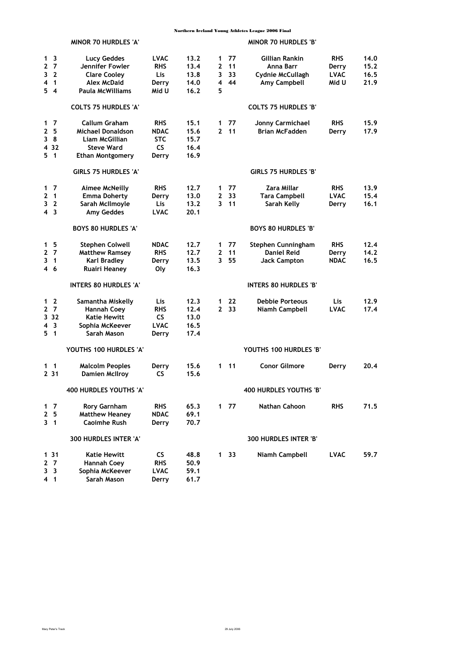|                                         | <b>MINOR 70 HURDLES 'A'</b>  |             |      |              |                 | <b>MINOR 70 HURDLES 'B'</b>  |             |      |
|-----------------------------------------|------------------------------|-------------|------|--------------|-----------------|------------------------------|-------------|------|
| $\overline{\mathbf{3}}$<br>1            | <b>Lucy Geddes</b>           | <b>LVAC</b> | 13.2 | 1            | 77              | Gillian Rankin               | <b>RHS</b>  | 14.0 |
| $\mathbf{2}$<br>$\overline{7}$          | Jennifer Fowler              | <b>RHS</b>  | 13.4 | $\mathbf{z}$ | 11              | Anna Barr                    | Derry       | 15.2 |
| 3 <sub>2</sub>                          | <b>Clare Cooley</b>          | Lis.        | 13.8 | 3            | 33              | Cydnie McCullagh             | <b>LVAC</b> | 16.5 |
| $\overline{1}$<br>4                     | <b>Alex McDaid</b>           | Derry       | 14.0 | 4            | 44              | Amy Campbell                 | Mid U       | 21.9 |
| 54                                      | Paula McWilliams             | Mid U       | 16.2 | 5            |                 |                              |             |      |
|                                         | <b>COLTS 75 HURDLES 'A'</b>  |             |      |              |                 | <b>COLTS 75 HURDLES 'B'</b>  |             |      |
| $1\quad 7$                              | Callum Graham                | <b>RHS</b>  | 15.1 | 1            | 77              | Jonny Carmichael             | <b>RHS</b>  | 15.9 |
| 2 <sub>5</sub>                          | <b>Michael Donaldson</b>     | <b>NDAC</b> | 15.6 | $\mathbf{2}$ | 11              | <b>Brian McFadden</b>        | Derry       | 17.9 |
| 38                                      | Liam McGillian               | <b>STC</b>  | 15.7 |              |                 |                              |             |      |
| 4 3 2                                   | <b>Steve Ward</b>            | <b>CS</b>   | 16.4 |              |                 |                              |             |      |
| 5 <sub>1</sub>                          | <b>Ethan Montgomery</b>      | Derry       | 16.9 |              |                 |                              |             |      |
|                                         | <b>GIRLS 75 HURDLES 'A'</b>  |             |      |              |                 | <b>GIRLS 75 HURDLES 'B'</b>  |             |      |
| $1\quad7$                               | <b>Aimee McNeilly</b>        | <b>RHS</b>  | 12.7 | $\mathbf{1}$ | 77              | Zara Millar                  | <b>RHS</b>  | 13.9 |
| $\mathbf{2}$<br>$\overline{\mathbf{1}}$ | <b>Emma Doherty</b>          | Derry       | 13.0 | $\mathbf{2}$ | 33              | <b>Tara Campbell</b>         | <b>LVAC</b> | 15.4 |
| 3 <sub>2</sub>                          | Sarah McIlmoyle              | Lis         | 13.2 | 3            | 11              | Sarah Kelly                  | Derry       | 16.1 |
| 4 <sub>3</sub>                          | <b>Amy Geddes</b>            | <b>LVAC</b> | 20.1 |              |                 |                              |             |      |
|                                         | <b>BOYS 80 HURDLES 'A'</b>   |             |      |              |                 | <b>BOYS 80 HURDLES 'B'</b>   |             |      |
| 1 <sub>5</sub>                          | Stephen Colwell              | <b>NDAC</b> | 12.7 | $\mathbf 1$  | 77              | Stephen Cunningham           | <b>RHS</b>  | 12.4 |
| 2 <sub>7</sub>                          | <b>Matthew Ramsey</b>        | <b>RHS</b>  | 12.7 | $\mathbf{2}$ | 11              | <b>Daniel Reid</b>           | Derry       | 14.2 |
| 3<br>$\blacksquare$                     | <b>Karl Bradley</b>          | Derry       | 13.5 | 3            | 55              | <b>Jack Campton</b>          | <b>NDAC</b> | 16.5 |
| 4 6                                     | <b>Ruairi Heaney</b>         | Oly         | 16.3 |              |                 |                              |             |      |
|                                         | <b>INTERS 80 HURDLES 'A'</b> |             |      |              |                 | <b>INTERS 80 HURDLES 'B'</b> |             |      |
| $1\quad 2$                              | Samantha Miskelly            | Lis         | 12.3 | 1            | 22              | <b>Debbie Porteous</b>       | <b>Lis</b>  | 12.9 |
| 2 <sub>7</sub>                          | Hannah Coey                  | <b>RHS</b>  | 12.4 |              | 2, 33           | Niamh Campbell               | <b>LVAC</b> | 17.4 |
| 3.32                                    | <b>Katie Hewitt</b>          | CS.         | 13.0 |              |                 |                              |             |      |
| 4 <sup>3</sup>                          | Sophia McKeever              | <b>LVAC</b> | 16.5 |              |                 |                              |             |      |
| 5 <sub>1</sub>                          | Sarah Mason                  | Derry       | 17.4 |              |                 |                              |             |      |
|                                         | YOUTHS 100 HURDLES 'A'       |             |      |              |                 | YOUTHS 100 HURDLES 'B'       |             |      |
| $1 \quad 1$                             | <b>Malcolm Peoples</b>       | Derry       | 15.6 |              | $1 \quad 11$    | <b>Conor Gilmore</b>         | Derry       | 20.4 |
| 2 3 1                                   | <b>Damien McIlroy</b>        | <b>CS</b>   | 15.6 |              |                 |                              |             |      |
|                                         | 400 HURDLES YOUTHS 'A'       |             |      |              |                 | 400 HURDLES YOUTHS 'B'       |             |      |
| $1\quad 7$                              | <b>Rory Garnham</b>          | <b>RHS</b>  | 65.3 |              | 177             | Nathan Cahoon                | <b>RHS</b>  | 71.5 |
| 2 <sub>5</sub>                          | <b>Matthew Heaney</b>        | <b>NDAC</b> | 69.1 |              |                 |                              |             |      |
| $3 \quad 1$                             | <b>Caoimhe Rush</b>          | Derry       | 70.7 |              |                 |                              |             |      |
|                                         | 300 HURDLES INTER 'A'        |             |      |              |                 | 300 HURDLES INTER 'B'        |             |      |
| $131$                                   | Katie Hewitt                 | <b>CS</b>   | 48.8 |              | 1 <sub>33</sub> | Niamh Campbell               | <b>LVAC</b> | 59.7 |
| 2 <sub>7</sub>                          | Hannah Coey                  | <b>RHS</b>  | 50.9 |              |                 |                              |             |      |
| 3 <sup>3</sup>                          | Sophia McKeever              | <b>LVAC</b> | 59.1 |              |                 |                              |             |      |
| 4 <sub>1</sub>                          | Sarah Mason                  | Derry       | 61.7 |              |                 |                              |             |      |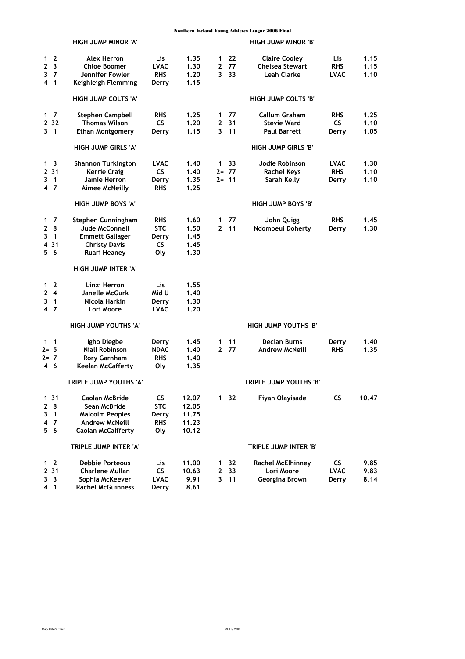|                                                         |                              | HIGH JUMP MINOR 'A'                                                                                            |                                                       |                                           |                   |                            | <b>HIGH JUMP MINOR 'B'</b>                                           |                                    |                      |
|---------------------------------------------------------|------------------------------|----------------------------------------------------------------------------------------------------------------|-------------------------------------------------------|-------------------------------------------|-------------------|----------------------------|----------------------------------------------------------------------|------------------------------------|----------------------|
| 1 <sub>2</sub><br>$\mathbf{2}$<br>3<br>4 <sub>1</sub>   | $\overline{\mathbf{3}}$<br>7 | <b>Alex Herron</b><br><b>Chloe Boomer</b><br>Jennifer Fowler<br>Keighleigh Flemming                            | Lis<br><b>LVAC</b><br><b>RHS</b><br>Derry             | 1.35<br>1.30<br>1.20<br>1.15              | 1<br>2<br>3       | 22<br>77<br>33             | <b>Claire Cooley</b><br><b>Chelsea Stewart</b><br><b>Leah Clarke</b> | Lis<br><b>RHS</b><br><b>LVAC</b>   | 1.15<br>1.15<br>1.10 |
|                                                         |                              | <b>HIGH JUMP COLTS 'A'</b>                                                                                     |                                                       |                                           |                   |                            | HIGH JUMP COLTS 'B'                                                  |                                    |                      |
| $1\quad 7$<br>2 3 2<br>$3 \quad 1$                      |                              | Stephen Campbell<br>Thomas Wilson<br><b>Ethan Montgomery</b>                                                   | <b>RHS</b><br><b>CS</b><br>Derry                      | 1.25<br>1.20<br>1.15                      | 1<br>2<br>3       | 77<br>31<br>11             | <b>Callum Graham</b><br><b>Stevie Ward</b><br><b>Paul Barrett</b>    | <b>RHS</b><br>CS.<br>Derry         | 1.25<br>1.10<br>1.05 |
|                                                         |                              | HIGH JUMP GIRLS 'A'                                                                                            |                                                       |                                           |                   |                            | HIGH JUMP GIRLS 'B'                                                  |                                    |                      |
| 1 <sup>3</sup><br>2 31<br>3 <sub>1</sub><br>4 7         |                              | <b>Shannon Turkington</b><br><b>Kerrie Craig</b><br>Jamie Herron<br><b>Aimee McNeilly</b>                      | <b>LVAC</b><br><b>CS</b><br>Derry<br><b>RHS</b>       | 1.40<br>1.40<br>1.35<br>1.25              | 1                 | 33<br>$2 = 77$<br>$2 = 11$ | Jodie Robinson<br><b>Rachel Keys</b><br>Sarah Kelly                  | <b>LVAC</b><br><b>RHS</b><br>Derry | 1.30<br>1.10<br>1.10 |
|                                                         |                              | HIGH JUMP BOYS 'A'                                                                                             |                                                       |                                           |                   |                            | HIGH JUMP BOYS 'B'                                                   |                                    |                      |
| 1<br>28<br>3<br>4 31<br>56                              | 7<br>$\overline{\mathbf{1}}$ | Stephen Cunningham<br>Jude McConnell<br><b>Emmett Gallager</b><br><b>Christy Davis</b><br><b>Ruari Heaney</b>  | <b>RHS</b><br><b>STC</b><br>Derry<br><b>CS</b><br>Oly | 1.60<br>1.50<br>1.45<br>1.45<br>1.30      | 1<br>$\mathbf{2}$ | 77<br>11                   | John Quigg<br>Ndompeui Doherty                                       | <b>RHS</b><br>Derry                | 1.45<br>1.30         |
|                                                         |                              | HIGH JUMP INTER 'A'                                                                                            |                                                       |                                           |                   |                            |                                                                      |                                    |                      |
| 1 <sub>2</sub><br>$\mathbf{2}$<br>3 <sub>1</sub><br>4 7 | $\overline{\mathbf{4}}$      | Linzi Herron<br>Janelle McGurk<br>Nicola Harkin<br>Lori Moore                                                  | Lis<br>Mid U<br>Derry<br><b>LVAC</b>                  | 1.55<br>1.40<br>1.30<br>1.20              |                   |                            |                                                                      |                                    |                      |
|                                                         |                              | HIGH JUMP YOUTHS 'A'                                                                                           |                                                       |                                           |                   |                            | HIGH JUMP YOUTHS 'B'                                                 |                                    |                      |
| $1\quad1$<br>$2 = 5$<br>$2 = 7$<br>46                   |                              | Igho Diegbe<br><b>Niall Robinson</b><br><b>Rory Garnham</b><br><b>Keelan McCafferty</b>                        | Derry<br><b>NDAC</b><br><b>RHS</b><br>Oly             | 1.45<br>1.40<br>1.40<br>1.35              | 1<br>$\mathbf{2}$ | 11<br>77                   | <b>Declan Burns</b><br><b>Andrew McNeill</b>                         | Derry<br><b>RHS</b>                | 1.40<br>1.35         |
|                                                         |                              | TRIPLE JUMP YOUTHS 'A'                                                                                         |                                                       |                                           |                   |                            | TRIPLE JUMP YOUTHS 'B'                                               |                                    |                      |
| 131<br>28<br>3<br>4 7<br>56                             | $\overline{1}$               | Caolan McBride<br>Sean McBride<br><b>Malcolm Peoples</b><br><b>Andrew McNeill</b><br><b>Caolan McCalfferty</b> | <b>CS</b><br><b>STC</b><br>Derry<br><b>RHS</b><br>Oly | 12.07<br>12.05<br>11.75<br>11.23<br>10.12 |                   | $1 \quad 32$               | Fiyan Olayisade                                                      | <b>CS</b>                          | 10.47                |
|                                                         |                              | TRIPLE JUMP INTER 'A'                                                                                          |                                                       |                                           |                   |                            | TRIPLE JUMP INTER 'B'                                                |                                    |                      |
| $1\quad 2$<br>2, 31<br>3 <sup>3</sup><br>4 1            |                              | <b>Debbie Porteous</b><br>Charlene Mullan<br>Sophia McKeever<br><b>Rachel McGuinness</b>                       | Lis,<br><b>CS</b><br><b>LVAC</b><br>Derry             | 11.00<br>10.63<br>9.91<br>8.61            | 1<br>2<br>3       | 32<br>33<br>11             | <b>Rachel McElhinney</b><br>Lori Moore<br>Georgina Brown             | CS<br><b>LVAC</b><br>Derry         | 9.85<br>9.83<br>8.14 |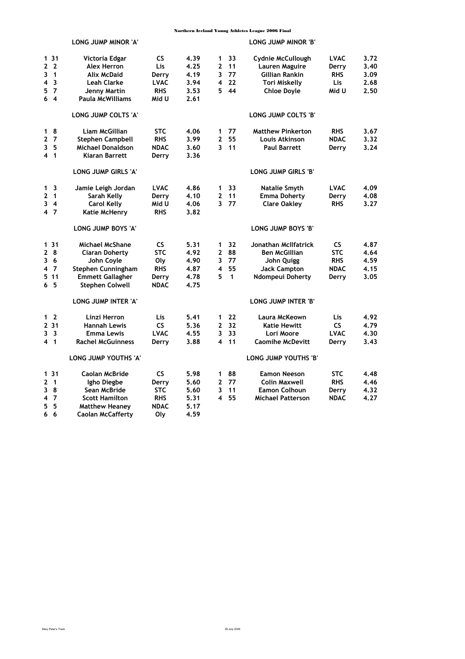|                                         | LONG JUMP MINOR 'A'        |             |      |                         |              | LONG JUMP MINOR 'B'      |             |      |
|-----------------------------------------|----------------------------|-------------|------|-------------------------|--------------|--------------------------|-------------|------|
| 131                                     | Victoria Edgar             | <b>CS</b>   | 4.39 | 1                       | 33           | Cydnie McCullough        | <b>LVAC</b> | 3.72 |
| $\mathbf{2}$<br>$\overline{2}$          | <b>Alex Herron</b>         | Lis         | 4.25 | $\overline{2}$          | 11           | Lauren Maguire           | Derry       | 3.40 |
| $\overline{1}$<br>3                     | <b>Alix McDaid</b>         | Derry       | 4.19 | 3                       | 77           | Gillian Rankin           | <b>RHS</b>  | 3.09 |
| $\overline{\mathbf{3}}$<br>4            | <b>Leah Clarke</b>         | <b>LVAC</b> | 3.94 | 4                       | 22           | Tori Miskelly            | Lis         | 2.68 |
| $\overline{7}$<br>5                     | Jenny Martin               | <b>RHS</b>  | 3.53 | 5.                      | 44           | <b>Chloe Doyle</b>       | Mid U       | 2.50 |
| 6 <sub>4</sub>                          | <b>Paula McWilliams</b>    | Mid U       | 2.61 |                         |              |                          |             |      |
|                                         | LONG JUMP COLTS 'A'        |             |      |                         |              | LONG JUMP COLTS 'B'      |             |      |
| - 8<br>$\mathbf{1}$                     | Liam McGillian             | <b>STC</b>  | 4.06 | 1                       | 77           | <b>Matthew Pinkerton</b> | <b>RHS</b>  | 3.67 |
| 2 <sub>7</sub>                          | <b>Stephen Campbell</b>    | <b>RHS</b>  | 3.99 | $\mathbf{z}$            | 55           | Louis Atkinson           | <b>NDAC</b> | 3.32 |
| - 5<br>3                                | <b>Michael Donaldson</b>   | <b>NDAC</b> | 3.60 | $\overline{\mathbf{3}}$ | 11           | <b>Paul Barrett</b>      | Derry       | 3.24 |
| 4 <sub>1</sub>                          | <b>Kiaran Barrett</b>      | Derry       | 3.36 |                         |              |                          |             |      |
|                                         | <b>LONG JUMP GIRLS 'A'</b> |             |      |                         |              | LONG JUMP GIRLS 'B'      |             |      |
| $\overline{\mathbf{3}}$<br>$\mathbf{1}$ | Jamie Leigh Jordan         | <b>LVAC</b> | 4.86 | 1                       | 33           | Natalie Smyth            | <b>LVAC</b> | 4.09 |
| $\mathbf{2}$<br>$\overline{1}$          | Sarah Kelly                | Derry       | 4.10 | 2                       | 11           | <b>Emma Doherty</b>      | Derry       | 4.08 |
| $\overline{\mathbf{4}}$<br>3            | <b>Carol Kelly</b>         | Mid U       | 4.06 | $\overline{\mathbf{3}}$ | 77           | <b>Clare Oakley</b>      | <b>RHS</b>  | 3.27 |
| 4 7                                     | Katie McHenry              | <b>RHS</b>  | 3.82 |                         |              |                          |             |      |
|                                         | LONG JUMP BOYS 'A'         |             |      |                         |              | LONG JUMP BOYS 'B'       |             |      |
| 131                                     | <b>Michael McShane</b>     | <b>CS</b>   | 5.31 | 1                       | 32           | Jonathan McIlfatrick     | <b>CS</b>   | 4.87 |
| 8<br>2                                  | <b>Ciaran Doherty</b>      | <b>STC</b>  | 4.92 | 2                       | 88           | <b>Ben McGillian</b>     | <b>STC</b>  | 4.64 |
| 36                                      | John Coyle                 | Oly         | 4.90 | 3                       | 77           | John Quigg               | <b>RHS</b>  | 4.59 |
| - 7<br>4                                | Stephen Cunningham         | <b>RHS</b>  | 4.87 | 4                       | 55           | <b>Jack Campton</b>      | <b>NDAC</b> | 4.15 |
| 5.11                                    | <b>Emmett Gallagher</b>    | Derry       | 4.78 | 5                       | $\mathbf{1}$ | Ndompeui Doherty         | Derry       | 3.05 |
| 6 <sub>5</sub>                          | <b>Stephen Colwell</b>     | <b>NDAC</b> | 4.75 |                         |              |                          |             |      |
|                                         | LONG JUMP INTER 'A'        |             |      |                         |              | LONG JUMP INTER 'B'      |             |      |
| 1 <sub>2</sub>                          | Linzi Herron               | Lis         | 5.41 | 1                       | 22           | Laura McKeown            | Lis         | 4.92 |
| 2 3 1                                   | <b>Hannah Lewis</b>        | <b>CS</b>   | 5.36 | $\overline{2}$          | 32           | <b>Katie Hewitt</b>      | <b>CS</b>   | 4.79 |
| $\overline{\mathbf{3}}$<br>3            | <b>Emma Lewis</b>          | <b>LVAC</b> | 4.55 | 3                       | 33           | Lori Moore               | <b>LVAC</b> | 4.30 |
| 4 <sub>1</sub>                          | <b>Rachel McGuinness</b>   | Derry       | 3.88 | 4                       | 11           | <b>Caomihe McDevitt</b>  | Derry       | 3.43 |
|                                         | LONG JUMP YOUTHS 'A'       |             |      |                         |              | LONG JUMP YOUTHS 'B'     |             |      |
| 131                                     | Caolan McBride             | <b>CS</b>   | 5.98 | 1                       | 88           | <b>Eamon Neeson</b>      | <b>STC</b>  | 4.48 |
| $\mathbf{2}$<br>$\overline{\mathbf{1}}$ | Igho Diegbe                | Derry       | 5.60 | $\mathbf{2}$            | 77           | <b>Colin Maxwell</b>     | <b>RHS</b>  | 4.46 |
| 8<br>3                                  | Sean McBride               | <b>STC</b>  | 5.60 | 3                       | 11           | <b>Eamon Colhoun</b>     | Derry       | 4.32 |
| $\overline{7}$<br>4                     | <b>Scott Hamilton</b>      | <b>RHS</b>  | 5.31 | 4                       | 55           | <b>Michael Patterson</b> | <b>NDAC</b> | 4.27 |
| 5<br>5                                  | <b>Matthew Heaney</b>      | <b>NDAC</b> | 5.17 |                         |              |                          |             |      |
| 6<br>6                                  | Caolan McCafferty          | Olv         | 4.59 |                         |              |                          |             |      |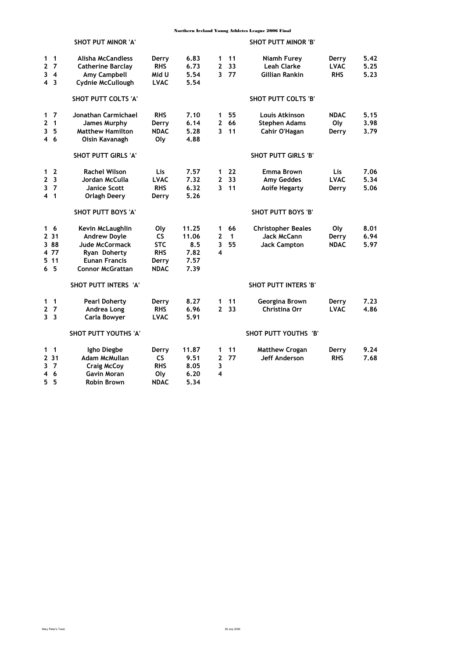|                                                                                                           | <b>SHOT PUT MINOR 'A'</b>                                                                                                    |                                                                |                                               |                                       |                          | <b>SHOT PUTT MINOR 'B'</b>                                             |                                    |                      |
|-----------------------------------------------------------------------------------------------------------|------------------------------------------------------------------------------------------------------------------------------|----------------------------------------------------------------|-----------------------------------------------|---------------------------------------|--------------------------|------------------------------------------------------------------------|------------------------------------|----------------------|
| $\overline{1}$<br>$\mathbf{1}$<br>$\mathbf{2}$<br>$\overline{7}$<br>3<br>$\overline{4}$<br>4 <sub>3</sub> | Alisha McCandless<br><b>Catherine Barclay</b><br>Amy Campbell<br><b>Cydnie McCullough</b>                                    | Derry<br><b>RHS</b><br>Mid U<br><b>LVAC</b>                    | 6.83<br>6.73<br>5.54<br>5.54                  | $\mathbf 1$<br>$\overline{2}$         | 11<br>33<br>3 77         | Niamh Furey<br><b>Leah Clarke</b><br>Gillian Rankin                    | Derry<br><b>LVAC</b><br><b>RHS</b> | 5.42<br>5.25<br>5.23 |
|                                                                                                           | SHOT PUTT COLTS 'A'                                                                                                          |                                                                |                                               |                                       |                          | <b>SHOT PUTT COLTS 'B'</b>                                             |                                    |                      |
| $1\quad7$<br>$\mathbf{2}$<br>$\overline{1}$<br>3<br>- 5<br>4 6                                            | Jonathan Carmichael<br><b>James Murphy</b><br><b>Matthew Hamilton</b><br>Oisin Kavanagh                                      | <b>RHS</b><br>Derry<br><b>NDAC</b><br>Oly                      | 7.10<br>6.14<br>5.28<br>4.88                  | 1<br>$\mathbf{2}$                     | 55<br>66<br>$3 - 11$     | Louis Atkinson<br><b>Stephen Adams</b><br>Cahir O'Hagan                | <b>NDAC</b><br>Oly<br>Derry        | 5.15<br>3.98<br>3.79 |
|                                                                                                           | <b>SHOT PUTT GIRLS 'A'</b>                                                                                                   |                                                                |                                               |                                       |                          | <b>SHOT PUTT GIRLS 'B'</b>                                             |                                    |                      |
| $\overline{2}$<br>1<br>$\overline{2}$<br>$\overline{\mathbf{3}}$<br>$\overline{7}$<br>3<br>4 <sub>1</sub> | <b>Rachel Wilson</b><br>Jordan McCulla<br><b>Janice Scott</b><br><b>Orlagh Deery</b>                                         | Lis<br><b>LVAC</b><br><b>RHS</b><br>Derry                      | 7.57<br>7.32<br>6.32<br>5.26                  | 1<br>$\overline{2}$                   | 22<br>33<br>$3$ 11       | Emma Brown<br><b>Amy Geddes</b><br><b>Aoife Hegarty</b>                | <b>Lis</b><br><b>LVAC</b><br>Derry | 7.06<br>5.34<br>5.06 |
|                                                                                                           | SHOT PUTT BOYS 'A'                                                                                                           |                                                                |                                               |                                       |                          | SHOT PUTT BOYS 'B'                                                     |                                    |                      |
| 16<br>2 3 1<br>3 88<br>4 77<br>5 11<br>65                                                                 | Kevin McLaughlin<br><b>Andrew Doyle</b><br>Jude McCormack<br>Ryan Doherty<br><b>Eunan Francis</b><br><b>Connor McGrattan</b> | Oly<br>CS.<br><b>STC</b><br><b>RHS</b><br>Derry<br><b>NDAC</b> | 11.25<br>11.06<br>8.5<br>7.82<br>7.57<br>7.39 | $\mathbf 1$<br>$\mathbf{2}$<br>3<br>4 | 66<br>$\mathbf{1}$<br>55 | <b>Christopher Beales</b><br><b>Jack McCann</b><br><b>Jack Campton</b> | Oly<br>Derry<br><b>NDAC</b>        | 8.01<br>6.94<br>5.97 |
|                                                                                                           | SHOT PUTT INTERS 'A'                                                                                                         |                                                                |                                               |                                       |                          | <b>SHOT PUTT INTERS 'B'</b>                                            |                                    |                      |
| $\overline{1}$<br>1<br>7<br>$\mathbf{2}$<br>3 <sub>3</sub>                                                | <b>Pearl Doherty</b><br>Andrea Long<br>Carla Bowyer                                                                          | Derry<br><b>RHS</b><br><b>LVAC</b>                             | 8.27<br>6.96<br>5.91                          | 1<br>$\mathbf{2}$                     | 11<br>33                 | Georgina Brown<br>Christina Orr                                        | Derry<br><b>LVAC</b>               | 7.23<br>4.86         |
|                                                                                                           | SHOT PUTT YOUTHS 'A'                                                                                                         |                                                                |                                               |                                       |                          | SHOT PUTT YOUTHS 'B'                                                   |                                    |                      |
| 1<br>$\overline{1}$<br>2 3 1<br>3<br>$\overline{7}$<br>4<br>6<br>5.<br>5                                  | Igho Diegbe<br>Adam McMullan<br><b>Craig McCoy</b><br><b>Gavin Moran</b><br><b>Robin Brown</b>                               | Derry<br><b>CS</b><br><b>RHS</b><br>Oly<br><b>NDAC</b>         | 11.87<br>9.51<br>8.05<br>6.20<br>5.34         | 1<br>$\mathbf{2}$<br>3<br>4           | 11<br>77                 | <b>Matthew Crogan</b><br><b>Jeff Anderson</b>                          | Derry<br><b>RHS</b>                | 9.24<br>7.68         |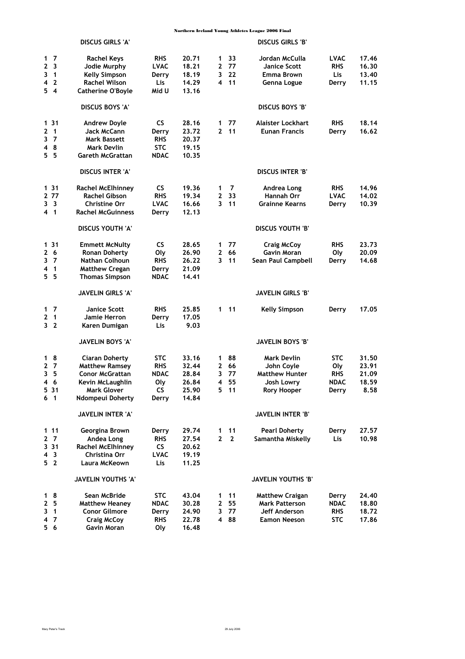|                                                                                | <b>DISCUS GIRLS 'A'</b>                                                                                                         |                                                         |                                                    |                             |                              | <b>DISCUS GIRLS 'B'</b>                                                                |                                                         |                                          |
|--------------------------------------------------------------------------------|---------------------------------------------------------------------------------------------------------------------------------|---------------------------------------------------------|----------------------------------------------------|-----------------------------|------------------------------|----------------------------------------------------------------------------------------|---------------------------------------------------------|------------------------------------------|
| $1\quad 7$<br>-3<br>2<br>3<br>$\overline{1}$<br>$\overline{2}$<br>4<br>54      | <b>Rachel Keys</b><br>Jodie Murphy<br><b>Kelly Simpson</b><br><b>Rachel Wilson</b><br><b>Catherine O'Boyle</b>                  | <b>RHS</b><br><b>LVAC</b><br>Derry<br>Lis<br>Mid U      | 20.71<br>18.21<br>18.19<br>14.29<br>13.16          | 1<br>$\mathbf{2}$<br>3<br>4 | 33<br>77<br>22<br>11         | Jordan McCulla<br><b>Janice Scott</b><br>Emma Brown<br>Genna Logue                     | <b>LVAC</b><br><b>RHS</b><br>Lis<br>Derry               | 17.46<br>16.30<br>13.40<br>11.15         |
|                                                                                | <b>DISCUS BOYS 'A'</b>                                                                                                          |                                                         |                                                    |                             |                              | <b>DISCUS BOYS 'B'</b>                                                                 |                                                         |                                          |
| 131<br>$\overline{\mathbf{1}}$<br>2<br>-7<br>3<br>-8<br>4<br>55                | <b>Andrew Doyle</b><br>Jack McCann<br>Mark Bassett<br><b>Mark Devlin</b><br>Gareth McGrattan                                    | <b>CS</b><br>Derry<br><b>RHS</b><br><b>STC</b><br>NDAC  | 28.16<br>23.72<br>20.37<br>19.15<br>10.35          | 1<br>$\mathbf{2}$           | 77<br>11                     | Alaister Lockhart<br><b>Eunan Francis</b>                                              | <b>RHS</b><br>Derry                                     | 18.14<br>16.62                           |
|                                                                                | <b>DISCUS INTER 'A'</b>                                                                                                         |                                                         |                                                    |                             |                              | <b>DISCUS INTER 'B'</b>                                                                |                                                         |                                          |
| 1 31<br>2 77<br>3 <sup>3</sup><br>4 <sub>1</sub>                               | Rachel McElhinney<br><b>Rachel Gibson</b><br><b>Christine Orr</b><br><b>Rachel McGuinness</b>                                   | <b>CS</b><br><b>RHS</b><br><b>LVAC</b><br>Derry         | 19.36<br>19.34<br>16.66<br>12.13                   | 1<br>$\mathbf{2}$<br>3      | 7<br>33<br>11                | Andrea Long<br>Hannah Orr<br><b>Grainne Kearns</b>                                     | <b>RHS</b><br><b>LVAC</b><br>Derry                      | 14.96<br>14.02<br>10.39                  |
|                                                                                | DISCUS YOUTH 'A'                                                                                                                |                                                         |                                                    |                             |                              | <b>DISCUS YOUTH 'B'</b>                                                                |                                                         |                                          |
| 1 31<br>- 6<br>2<br>3<br>- 7<br>$\overline{\mathbf{1}}$<br>4<br>5 <sub>5</sub> | <b>Emmett McNulty</b><br><b>Ronan Doherty</b><br><b>Nathan Colhoun</b><br><b>Matthew Cregan</b><br><b>Thomas Simpson</b>        | <b>CS</b><br>Oly<br><b>RHS</b><br>Derry<br>NDAC         | 28.65<br>26.90<br>26.22<br>21.09<br>14.41          | 1<br>$\mathbf{2}$<br>3      | 77<br>66<br>11               | <b>Craig McCoy</b><br><b>Gavin Moran</b><br>Sean Paul Campbell                         | <b>RHS</b><br>Oly<br>Derry                              | 23.73<br>20.09<br>14.68                  |
|                                                                                | <b>JAVELIN GIRLS 'A'</b>                                                                                                        |                                                         |                                                    |                             |                              | <b>JAVELIN GIRLS 'B'</b>                                                               |                                                         |                                          |
| $1\quad 7$<br>$\mathbf{2}$<br>$\overline{\mathbf{1}}$<br>3 <sub>2</sub>        | Janice Scott<br>Jamie Herron<br>Karen Dumigan                                                                                   | <b>RHS</b><br>Derry<br>Lis                              | 25,85<br>17.05<br>9.03                             | 1                           | 11                           | <b>Kelly Simpson</b>                                                                   | Derry                                                   | 17.05                                    |
|                                                                                | <b>JAVELIN BOYS 'A'</b>                                                                                                         |                                                         |                                                    |                             |                              | <b>JAVELIN BOYS 'B'</b>                                                                |                                                         |                                          |
| 18<br>2 <sub>7</sub><br>- 5<br>3<br>46<br>531<br>6 <sub>1</sub>                | <b>Ciaran Doherty</b><br><b>Matthew Ramsey</b><br><b>Conor McGrattan</b><br>Kevin McLaughlin<br>Mark Glover<br>Ndompeui Doherty | STC<br><b>RHS</b><br><b>NDAC</b><br>Oly<br>CS<br>Derry  | 33.16<br>32.44<br>28.84<br>26.84<br>25.90<br>14.84 | 1<br>2<br>3<br>4<br>5.      | 88<br>66<br>77<br>55<br>- 11 | Mark Devlin<br>John Coyle<br><b>Matthew Hunter</b><br>Josh Lowry<br><b>Rory Hooper</b> | <b>STC</b><br>Oly<br><b>RHS</b><br><b>NDAC</b><br>Derry | 31.50<br>23.91<br>21.09<br>18.59<br>8.58 |
|                                                                                | JAVELIN INTER 'A'                                                                                                               |                                                         |                                                    |                             |                              | JAVELIN INTER 'B'                                                                      |                                                         |                                          |
| 111<br>2 <sub>7</sub><br>3 3 1<br>4 <sup>3</sup><br>5 <sub>2</sub>             | Georgina Brown<br>Andea Long<br><b>Rachel McElhinney</b><br>Christina Orr<br>Laura McKeown                                      | Derry<br><b>RHS</b><br>CS.<br><b>LVAC</b><br>Lis        | 29.74<br>27.54<br>20.62<br>19.19<br>11.25          | 1<br>$\mathbf{2}$           | 11<br>$\overline{2}$         | <b>Pearl Doherty</b><br>Samantha Miskelly                                              | Derry<br>Lis                                            | 27.57<br>10.98                           |
|                                                                                | JAVELIN YOUTHS 'A'                                                                                                              |                                                         |                                                    |                             |                              | JAVELIN YOUTHS 'B'                                                                     |                                                         |                                          |
| 18<br>2 <sub>5</sub><br>3<br>$\overline{1}$<br>7<br>4<br>56                    | Sean McBride<br><b>Matthew Heaney</b><br><b>Conor Gilmore</b><br><b>Craig McCoy</b><br>Gavin Moran                              | <b>STC</b><br><b>NDAC</b><br>Derry<br><b>RHS</b><br>Oly | 43.04<br>30.28<br>24.90<br>22.78<br>16.48          | 1<br>$\mathbf{2}$<br>3<br>4 | 11<br>55<br>77<br>88         | <b>Matthew Craigan</b><br><b>Mark Patterson</b><br>Jeff Anderson<br>Eamon Neeson       | Derry<br>NDAC<br><b>RHS</b><br><b>STC</b>               | 24.40<br>18.80<br>18.72<br>17.86         |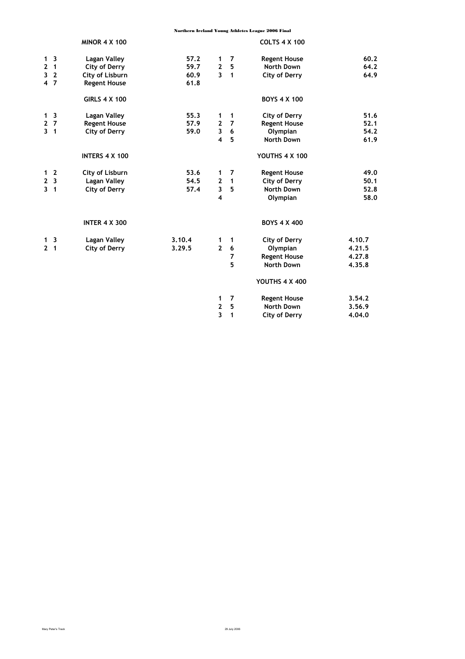|   |                | <b>MINOR 4 X 100</b>  |        |                         |                | <b>COLTS 4 X 100</b>  |        |
|---|----------------|-----------------------|--------|-------------------------|----------------|-----------------------|--------|
|   | 1 <sup>3</sup> | Lagan Valley          | 57.2   | 1                       | $\overline{7}$ | <b>Regent House</b>   | 60.2   |
|   | 2 <sub>1</sub> | City of Derry         | 59.7   | $\mathbf{2}$            | 5              | North Down            | 64.2   |
| 3 | $\overline{2}$ | City of Lisburn       | 60.9   | $\overline{3}$          | $\mathbf{1}$   | City of Derry         | 64.9   |
|   | 4 <sub>7</sub> | <b>Regent House</b>   | 61.8   |                         |                |                       |        |
|   |                | <b>GIRLS 4 X 100</b>  |        |                         |                | <b>BOYS 4 X 100</b>   |        |
|   | 1 <sub>3</sub> | Lagan Valley          | 55.3   | 1                       | $\overline{1}$ | City of Derry         | 51.6   |
|   | 2 <sub>7</sub> | <b>Regent House</b>   | 57.9   | $\mathbf{2}$            | $\overline{7}$ | <b>Regent House</b>   | 52.1   |
|   | 3 <sub>1</sub> | <b>City of Derry</b>  | 59.0   | $\mathbf{3}$            | 6              | Olympian              | 54.2   |
|   |                |                       |        | $\overline{\mathbf{4}}$ | 5              | <b>North Down</b>     | 61.9   |
|   |                | <b>INTERS 4 X 100</b> |        |                         |                | YOUTHS 4 X 100        |        |
|   | 1 <sub>2</sub> | City of Lisburn       | 53.6   | 1                       | 7              | <b>Regent House</b>   | 49.0   |
|   | 2 <sub>3</sub> | <b>Lagan Valley</b>   | 54.5   | $\overline{2}$          | $\mathbf{1}$   | City of Derry         | 50.1   |
| 3 | $\overline{1}$ | <b>City of Derry</b>  | 57.4   | 3                       | 5              | <b>North Down</b>     | 52.8   |
|   |                |                       |        | 4                       |                | Olympian              | 58.0   |
|   |                | <b>INTER 4 X 300</b>  |        |                         |                | <b>BOYS 4 X 400</b>   |        |
|   | 1 <sup>3</sup> | Lagan Valley          | 3.10.4 | 1                       | 1              | City of Derry         | 4.10.7 |
|   | 2 <sub>1</sub> | City of Derry         | 3.29.5 | $\overline{2}$          | 6              | Olympian              | 4.21.5 |
|   |                |                       |        |                         | 7              | <b>Regent House</b>   | 4.27.8 |
|   |                |                       |        |                         | 5              | <b>North Down</b>     | 4.35.8 |
|   |                |                       |        |                         |                | <b>YOUTHS 4 X 400</b> |        |
|   |                |                       |        | 1                       | $\overline{7}$ | <b>Regent House</b>   | 3.54.2 |
|   |                |                       |        | $\mathbf{2}$            | 5              | North Down            | 3.56.9 |
|   |                |                       |        | 3                       | 1              | City of Derry         | 4.04.0 |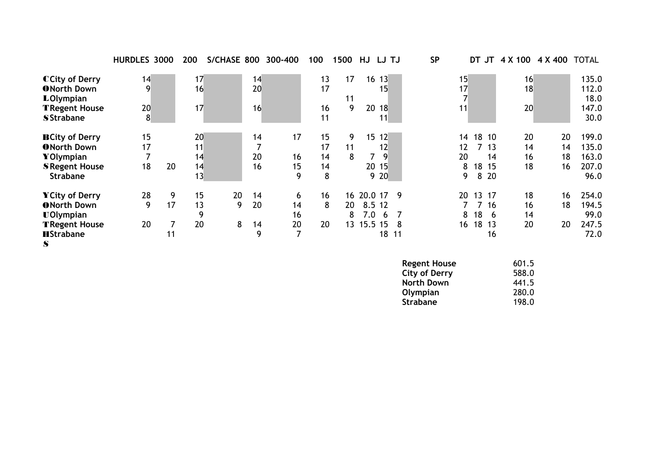|                       | HURDLES 3000 |    | 200 | S/CHASE 800 |    | 300-400 | 100 | 1500 | HJ         | LJ TJ     |     | <b>SP</b> |    | DT    | JT   | 4 X 100 4 X 400 |    | <b>TOTAL</b> |
|-----------------------|--------------|----|-----|-------------|----|---------|-----|------|------------|-----------|-----|-----------|----|-------|------|-----------------|----|--------------|
| CCity of Derry        | 14           |    | 17  |             | 14 |         | 13  | 17   |            | $16 \t13$ |     |           | 15 |       |      | 16              |    | 135.0        |
| <b>ONorth Down</b>    | 9            |    | 16  |             | 20 |         | 17  |      |            | 15        |     |           | 17 |       |      | 18              |    | 112.0        |
| <b>LOlympian</b>      |              |    |     |             |    |         |     | 11   |            |           |     |           |    |       |      |                 |    | 18.0         |
| <b>TRegent House</b>  | 20           |    | 17  |             | 16 |         | 16  | 9    |            | 20 18     |     |           | 11 |       |      | 20              |    | 147.0        |
| <b>SStrabane</b>      | 8            |    |     |             |    |         | 11  |      |            | 11        |     |           |    |       |      |                 |    | 30.0         |
| <b>BCity of Derry</b> | 15           |    | 20  |             | 14 | 17      | 15  | 9    |            | 15 12     |     |           | 14 | 18 10 |      | 20              | 20 | 199.0        |
| <b>ONorth Down</b>    | 17           |    | 11  |             |    |         | 17  | 11   |            | 12        |     |           | 12 |       | 713  | 14              | 14 | 135.0        |
| YOlympian             |              |    | 14  |             | 20 | 16      | 14  | 8    |            | 9         |     |           | 20 |       | 14   | 16              | 18 | 163.0        |
| <b>S</b> Regent House | 18           | 20 | 14  |             | 16 | 15      | 14  |      |            | 20 15     |     |           | 8  | 18 15 |      | 18              | 16 | 207.0        |
| Strabane              |              |    | 13  |             |    | 9       | 8   |      |            | 9 20      |     |           | 9. |       | 8 20 |                 |    | 96.0         |
| YCity of Derry        | 28           | 9  | 15  | 20          | 14 | 6       | 16  |      | 16 20.0 17 |           | -9  |           | 20 | 13 17 |      | 18              | 16 | 254.0        |
| <b>ONorth Down</b>    | 9            | 17 | 13  | 9           | 20 | 14      | 8   | 20   | 8.5 12     |           |     |           |    |       | 7 16 | 16              | 18 | 194.5        |
| <b>UOlympian</b>      |              |    | 9   |             |    | 16      |     | 8    | 7.0        | - 6       |     |           | 8  | 18    | - 6  | 14              |    | 99.0         |
| <b>TRegent House</b>  | 20           |    | 20  | 8           | 14 | 20      | 20  | 13   | 15.5 15    |           | -8  |           | 16 | 18 13 |      | 20              | 20 | 247.5        |
| <b>HStrabane</b><br>S |              | 11 |     |             | 9  | 7       |     |      |            | 18        | -11 |           |    |       | 16   |                 |    | 72.0         |

| 601.5 |
|-------|
| 588.0 |
| 441.5 |
| 280.0 |
| 198.0 |
|       |